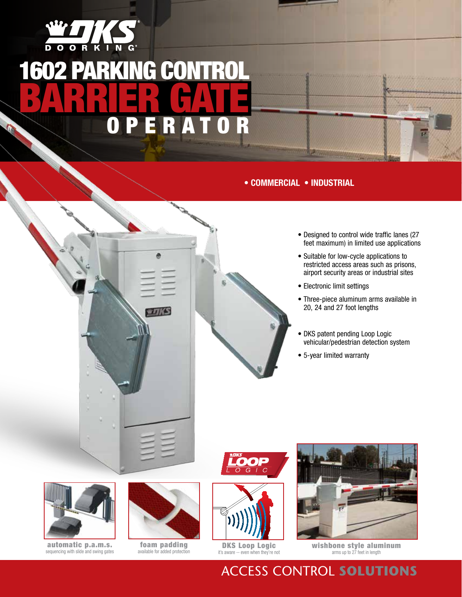

# 1602 PARKING CONTRO BARRIER G  $\boldsymbol{0}$  $\overline{\mathbf{r}}$  $\boldsymbol{0}$

## **• Commercial • INDUSTRIAL**



- Designed to control wide traffic lanes (27 feet maximum) in limited use applications
- Suitable for low-cycle applications to restricted access areas such as prisons, airport security areas or industrial sites
- Electronic limit settings
- Three-piece aluminum arms available in 20, 24 and 27 foot lengths
- DKS patent pending Loop Logic vehicular/pedestrian detection system
- 5-year limited warranty





11/15

automatic p.a.m.s. sequencing with slide and swing gates

foam padding available for added protection









**wishbone style aluminum**<br>arms up to 27 feet in length

Access Control **Solutions**